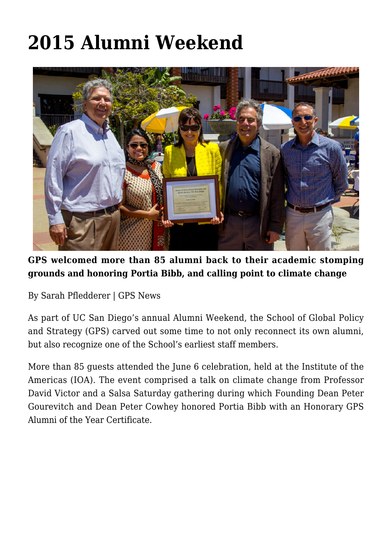## **[2015 Alumni Weekend](https://gpsnews.ucsd.edu/story-alumni-weekend/)**



**GPS welcomed more than 85 alumni back to their academic stomping grounds and honoring Portia Bibb, and calling point to climate change**

By Sarah Pfledderer | GPS News

As part of UC San Diego's annual Alumni Weekend, the School of Global Policy and Strategy (GPS) carved out some time to not only reconnect its own alumni, but also recognize one of the School's earliest staff members.

More than 85 guests attended the June 6 celebration, held at the Institute of the Americas (IOA). The event comprised a talk on climate change from Professor David Victor and a Salsa Saturday gathering during which Founding Dean Peter Gourevitch and Dean Peter Cowhey honored Portia Bibb with an Honorary GPS Alumni of the Year Certificate.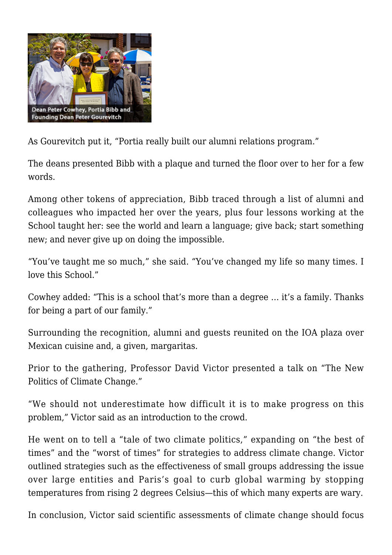

As Gourevitch put it, "Portia really built our alumni relations program."

The deans presented Bibb with a plaque and turned the floor over to her for a few words.

Among other tokens of appreciation, Bibb traced through a list of alumni and colleagues who impacted her over the years, plus four lessons working at the School taught her: see the world and learn a language; give back; start something new; and never give up on doing the impossible.

"You've taught me so much," she said. "You've changed my life so many times. I love this School."

Cowhey added: "This is a school that's more than a degree … it's a family. Thanks for being a part of our family."

Surrounding the recognition, alumni and guests reunited on the IOA plaza over Mexican cuisine and, a given, margaritas.

Prior to the gathering, Professor David Victor presented a talk on "The New Politics of Climate Change."

"We should not underestimate how difficult it is to make progress on this problem," Victor said as an introduction to the crowd.

He went on to tell a "tale of two climate politics," expanding on "the best of times" and the "worst of times" for strategies to address climate change. Victor outlined strategies such as the effectiveness of small groups addressing the issue over large entities and Paris's goal to curb global warming by stopping temperatures from rising 2 degrees Celsius—this of which many experts are wary.

In conclusion, Victor said scientific assessments of climate change should focus